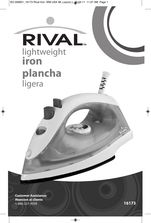SO-309001\_16173 Rival Iron WM USA IM\_Layout 1 30-04-11 11:37 AM Page 1

RIVAL. lightweight **iron plancha** ligera

**Customer Assistance: Atencion al cliente** 1-866-321-9509 **16173**

◈

♦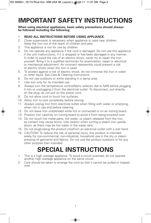# **IMPORTANT SAFETY INSTRUCTIONS**

**When using electrical appliances, basic safety precautions should always be followed including the following:**

### 1. **READ ALL INSTRUCTIONS BEFORE USING APPLIANCE.**

- 2. Close supervision is necessary when appliance is used near children. Keep the Iron out of the reach of children and pets.
- 3. This appliance is not for use by children.
- 4. Do not operate any appliance if the cord is damaged. Do not use this appliance if the unit malfunctions, if it is dropped or has been damaged in any manner. In order to avoid the risk of an electric shock, never try to repair the Iron yourself. Bring it to a qualified technician for examination, repair or electrical or mechanical adjustment. An incorrect reassembly could present a risk of electric shock when the Iron is used
- 5. To protect against a risk of electric shock, do not immerse the Iron in water or other liquid. See Care & Cleaning Instructions.
- 6. Do not use outdoors or while standing in a damp area.
- 7. Use Iron only for its intended use.
- 8. Always turn the temperature control/fabric selector dial to MIN before plugging it into or unplugging it from the electrical outlet. To disconnect, pull directly on the plug; do not pull on the power cord.
- 9. Do not allow cord to touch hot surfaces.
- 10. Allow Iron to cool completely before storing.
- 11. Always unplug Iron from electrical outlet when filling with water or emptying, when not in use and before cleaning.
- 12. Do not leave Iron unattended while hot or connected or on an ironing board.
- 13. Position Iron carefully on ironing board to avoid it from being knocked over.
- 14. Do not touch hot metal parts, hot water, or steam released from the Iron, as contact may cause burns. Use caution when turning a steam iron upside down, as there may be hot water in the water tank.
- 15. Do not plug/unplug the product into/from an electrical outlet with a wet hand.
- 16. CAUTION! To reduce the risk of personal injury, this product is intended solely for non-commercial, non-industrial, household use in the dry or steam pressing of garments and fabrics. Do not use the product outdoors or for any other purpose than intended.

# **SPECIAL INSTRUCTIONS**

- 1. This is a high wattage appliance. To avoid a circuit overload, do not operate another high wattage appliance on the same circuit.
- 2. Care should be taken to arrange the cord so that it cannot be pulled or tripped over.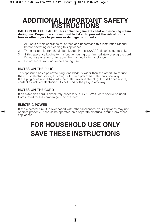### **ADDITIONAL IMPORTANT SAFETY INSTRUCTIONS**

**CAUTION HOT SURFACES: This appliance generates heat and escaping steam during use. Proper precautions must be taken to prevent the risk of burns, fires or other injury to persons or damage to property.**

- 1. All users of this appliance must read and understand this Instruction Manual before operating or cleaning this appliance.
- 2. The cord to this Iron should be plugged into a 120V AC electrical outlet only.
- 3. If this appliance begins to malfunction during use, immediately unplug the cord. Do not use or attempt to repair the malfunctioning appliance.
- 4. Do not leave Iron unattended during use.

### **NOTES ON THE PLUG**

This appliance has a polarized plug (one blade is wider than the other). To reduce the risk of electric shock, this plug will fit in a polarized outlet only one way. If the plug does not fit fully into the outlet, reverse the plug. If it still does not fit, contact <sup>a</sup> qualified electrician. Do not modify the plug in any way.

### **NOTES ON THE CORD**

If an extension cord is absolutely necessary, a 3 x 16 AWG cord should be used.<br>Cords rated for less amperage may overheat.

### **ELECTRIC POWER**

If the electrical circuit is overloaded with other appliances, your appliance may not operate properly. It should be operated on a separate electrical circuit from other appliances.

# **FOR HOUSEHOLD USE ONLY SAVE THESE INSTRUCTIONS**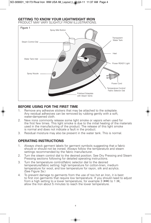### **GETTING TO KNOW YOUR LIGHTWEIGHT IRON**

PRODUCT MAY VARY SLIGHTLY FROM ILLUSTRATIONS.



### **BEFORE USING FOR THE FIRST TIME**

- 1. Remove any adhesive stickers that may be attached to the soleplate. Any residual adhesives can be removed by rubbing gently with a soft, water-dampened cloth.
- 2. New irons commonly release some light smoke or vapors when used for the first few times. This light smoke is due to the initial heating of the materials used in the manufacturing of the product. The release of this light smoke is normal and does not indicate a fault in the product.
- 3. Residual moisture may also be present in the water tank. This is normal.

### **OPERATING INSTRUCTIONS**

- 1. Always check garment labels for garment symbols suggesting that a fabric should or should not be ironed. Always follow the temperature and steam settings recommended by the fabric manufacturer.
- 2. Turn the steam control dial to the desired position. See Dry Pressing and Steam Pressing sections following for detailed operating instructions.
- 3. Turn the temperature control/fabric selector dial to the desired temperature/fabric setting: high temperature for cotton-linen, medium temperature for wool, and low temperature for rayon, silk and acrylics. (See Figure 3a.)
- 4. To prevent damage to garments from the use of too hot an Iron, it is best to first iron garments that require low temperature. If you should need to adjust from a high setting to a lower temperature, for example 3 (•••) to 1 (•), allow the Iron about 5 minutes to reach the lower temperature.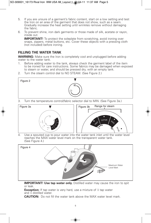- 5. If you are unsure of a garment's fabric content, start on a low setting and test the Iron on an area of the garment that does not show, such as a seam. Gradually increase the heat setting until wrinkles remove without damaging the fabric.
- 6. To prevent shine, iron dark garments or those made of silk, acetate or rayon, inside out.

**IMPORTANT!** To protect the soleplate from scratching, avoid ironing over snaps, zippers, metal buttons, etc. Cover these objects with a pressing cloth (not included) before ironing.

### **FILLING THE WATER TANK**

**WARNING:** Make sure the Iron is completely cool and unplugged before adding water to the water tank.

- 1. Before adding water to the tank, always check the garment label of the item to be ironed for care instructions. Some fabrics may be damaged when exposed to steam or water, and should be pressed dry, with an empty tank.
- 2. Turn the steam control dial to NO STEAM. (See Figure 2.)



3. Turn the temperature control/fabric selector dial to MIN. (See Figure 3a.)



4. Use a spouted cup to pour water into the water tank inlet until the water level reaches the MAX water level mark on the transparent water tank. (See Figure 4.)



**IMPORTANT! Use tap water only.** Distilled water may cause the iron to spit or leak.

**Exception:** If tap water is very hard, use a mixture of  $\frac{1}{2}$  tap water and  $\overline{k}$  distilled water.

**CAUTION:** Do not fill the water tank above the MAX water level mark.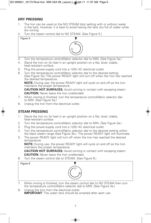### **DRY PRESSING**

- 1. The Iron can be used on the NO STEAM (dry) setting with or without water in the tank, however, it is best to avoid having the tank too full of water while dry ironing.
- Turn the steam control dial to NO STEAM. (See Figure 5.)



- 3. Turn the temperature control/fabric selector dial to MIN. (See Figure 3a.)
- 4. Stand the Iron on its heel in an upright position on a flat, level, stable, heat-resistant surface.
- 5. Plug the power-supply cord into a 120V AC electrical outlet.
- 6. Turn the temperature control/fabric selector dial to the desired setting. (See Figure 3a.) The power READY light will turn off when the Iron has reached the desired temperature.

**NOTE:** During use, the power READY light will cycle on and off as the Iron maintains the proper temperature.

**CAUTION HOT SURFACES:** Avoid coming in contact with escaping steam. **CAUTION:** Never leave the Iron unattended.

- 7. When ironing is finished, turn the temperature control/fabric selector dial to MIN. (See Figure 3a.)
- 8. Unplug the Iron from the electrical outlet.

### **STEAM PRESSING**

- 1. Stand the Iron on its heel in an upright position on a flat, level, stable, heat-resistant surface.
- 2. Turn the temperature control/fabric selector dial to MIN. (See Figure 3a.)
- 3. Plug the power-supply cord into a 120V AC electrical outlet.
- 4. Turn the temperature control/fabric selector dial to the desired setting within the black steam range (See Figure 3b.). The power READY light will illuminate.
- 5. The power READY light will turn off when the Iron has reached the desired temperature.

**NOTE:** During use, the power READY light will cycle on and off as the Iron maintains the proper temperature.

**CAUTION HOT SURFACES:** Avoid coming in contact with escaping steam. **CAUTION:** Never leave the Iron unattended.

6. Turn the steam control dial to STEAM. (See Figure 6.)



- 7. When ironing is finished, turn the steam control dial to NO STEAM then turn the temperature control/fabric selector dial to MIN. (See Figure 3a.)
- 8. Unplug the Iron from the electrical outlet. **IMPORTANT**: The water tank should be emptied after each use.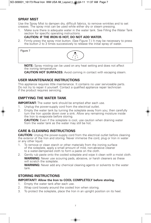### **SPRAY MIST**

Use the Spray Mist to dampen dry, difficult fabrics, to remove wrinkles and to set creases. The spray mist can be used while either dry or steam pressing.

1. Make sure there is adequate water in the water tank. See Filling the Water Tank section for specific operating instructions.

### **CAUTION: IF THE IRON IS HOT, DO NOT ADD WATER.**

2. Firmly press the spray mist button. (See Figure 7.) It may be necessary to press the button 2 to 3 times successively to release the initial spray of water.



**NOTE:** Spray misting can be used on any heat setting and does not affect the ironing temperature.

**CAUTION HOT SURFACES:** Avoid coming in contact with escaping steam.

### **USER MAINTENANCE INSTRUCTIONS**

This appliance requires little maintenance. It contains no user serviceable parts. Do not try to repair it yourself. Contact a qualified appliance repair technician if the product requires servicing.

### **EMPTYING THE WATER TANK**

**IMPORTANT:** The water tank should be emptied after each use.

- 1. Unplug the power-supply cord from the electrical outlet.
- 2. Empty the water tank by turning the soleplate away from you; then carefully turn the Iron upside down over a sink. Allow any remaining moisture inside the Iron to evaporate before storing.

**CAUTION:** Even if the soleplate is cool, use caution when draining water from the water tank as the water may still be hot.

### **CARE & CLEANING INSTRUCTIONS**

**CAUTION:** Unplug the power-supply cord from the electrical outlet before cleaning the exterior of the Iron and storing. Never immerse the cord, plug or Iron in water or any other liquid.

- 1. To remove or clean starch or other materials from the ironing surface of the soleplate, apply a small amount of mild, non-abrasive cleaner to a water-dampened cloth to form a paste on the cloth.
- 2. Gently rub paste onto the cooled soleplate and wipe it clean with a moist cloth. **WARNING:** Never use scouring pads, abrasive, or harsh cleaners as these will scratch the soleplate.

**WARNING:** Never add any chemical cleaning agents or solvents to the water tank.

### **STORING INSTRUCTIONS**

### **IMPORTANT! Allow the Iron to COOL COMPLETELY before storing.**

- 1. Empty the water tank after each use.
- 2. Wrap cord loosely around the cooled Iron when storing.
- 3. To protect the soleplate, place the Iron in an upright position on its heel.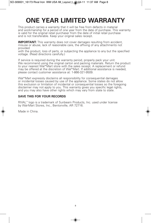## **ONE YEAR LIMITED WARRANTY**

This product carries a warranty that it will be free from defects in material and workmanship for a period of one year from the date of purchase. This warranty is valid for the original retail purchaser from the date of initial retail purchase and is not transferable. Keep your original sales receipt.

**IMPORTANT:** This warranty does not cover damages resulting from accident, misuse or abuse, lack of reasonable care, the affixing of any attachments not provided

with the product, loss of parts, or subjecting the appliance to any but the specified voltage. (Read directions carefully.)

If service is required during the warranty period, properly pack your unit. We recommend using the original carton and packing materials. Return the product to your nearest Wal\*Mart store with the sales receipt. A replacement or refund may be offered at the discretion of Wal\*Mart. If additional assistance is needed, please contact customer assistance at: 1-866-321-9509.

Wal\*Mart expressly disclaims all responsibility for consequential damages or incidental losses caused by use of the appliance. Some states do not allow this exclusion or limitation of incidental or consequential losses so the foregoing disclaimer may not apply to you. This warranty gives you specific legal rights, and you may also have other rights which may vary from state to state.

#### **SAVE THIS FOR YOUR RECORDS**

RIVAL™ logo is a trademark of Sunbeam Products, Inc. used under license by Wal-Mart Stores, Inc., Bentonville, AR 72716.

Made in China.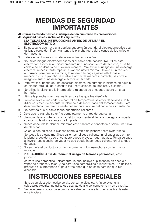### **MEDIDAS DE SEGURIDAD IMPORTANTES**

**Al utilizar electrodomésticos, siempre deben cumplirse las precauciones de seguridad básicas, incluidas las siguientes:**

- 1. **LEA TODAS LAS INSTRUCCIONES ANTES DE UTILIZAR EL - ELECTRODOMÉSTICO.**
- 2. Es necesario que haya una estricta supervisión cuando el electrodoméstico sea utilizado cerca de niños. Mantenga la plancha fuera del alcance de los niños o de mascotas.
- 3. Este electrodoméstico no debe ser utilizado por niños.
- 4. No utilice ningún electrodoméstico si el cable está dañado. No utilice este electrodoméstico si la unidad presenta un funcionamiento defectuoso, si se ha caído o se ha dañado de cualquier manera. Para evitar el riesgo de una descarga eléctrica, nunca intente reparar la plancha usted mismo. Llévelo a un técnico autorizado para que lo examine, lo repare o le haga ajustes eléctricos o mecánicos. Si la plancha se vuelve a armar de manera incorrecta, se corre el riesgo de sufrir una descarga eléctrica al utilizarla.
- 5. Para evitar el riesgo de una descarga eléctrica, no sumerja la plancha en agua ni en ningún otro líquido. Consulte las "Instrucciones de limpieza y cuidado".
- 6. No utilice la plancha a la intemperie o mientras se encuentre sobre un área húmeda.
- 7. Utilice la plancha sólo para los fines para los que fue diseñada.
- 8. Siempre lleve el indicador de control de temperatura/selector de tejidos a MIN (Mínimo) antes de enchufar la plancha o desenchufarla del tomacorriente. Para desconectarla, tire directamente del enchufe; no tire del cable de alimentación.
- 9. No permita que el cable toque superficies calientes.
- 10. Deje que la plancha se enfríe completamente antes de guardarla.
- 11. Siempre desenchufe la plancha del tomacorriente al llenarla con agua o vaciarla, cuando no la utilice y antes de limpiarla.
- 12. Nunca descuide la plancha mientras esté caliente o conectada o sobre una tabla de planchar.
- 13. Coloque con cuidado la plancha sobre la tabla de planchar para evitar tirarla.
- 14. No toque las piezas metálicas calientes, el agua caliente, ni el vapor que emite la plancha debido a que el contacto puede provocar quemaduras. Tenga cuidado al invertir una plancha de vapor ya que puede haber agua caliente en el tanque de agua.
- 15. No enchufe el producto a un tomacorriente ni lo desenchufe con las manos mojadas.
- 16. **PRECAUCIÓN: A fin de reducir el riesgo de lesiones personales,** este producto

es para uso doméstico únicamente, lo que incluye el planchado en seco o a vapor de prendas y telas, y no para usos comerciales o industriales. No utilice el producto a la intemperie ni para otros fines que no sean para los que fue diseñado.

# **INSTRUCCIONES ESPECIALES**

- 1. Este es un electrodoméstico de alto consumo eléctrico. A fin de evitar una sobrecarga eléctrica, no utilice otro aparato de alto consumo en el mismo circuito.
- 2. Se debe tener cuidado de acomodar el cable de manera tal que nadie tire de este ni se tropiece.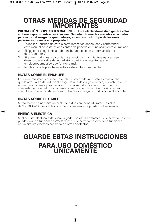### **OTRAS MEDIDAS DE SEGURIDAD IMPORTANTES**

**PRECAUCIÓN, SUPERFICIES CALIENTES: Este electrodoméstico genera calor y libera vapor mientras está en uso. Se deben tomar las medidas adecuadas para evitar el riesgo de quemaduras, incendios u otro tipo de lesiones personales o daños a la propiedad.**

- 1. Todos los usuarios de este electrodoméstico deben leer y comprender este manual de instrucciones antes de ponerlo en funcionamiento o limpiarlo.
- 2. El cable de esta plancha debe enchufarse sólo en un tomacorriente de CA de 120 V.
- 3. Si el electrodoméstico comienza a funcionar mal mientras está en uso, desenchufe el cable de inmediato. No utilice ni intente reparar un electrodoméstico que funciona mal.
- 4. No descuide la plancha mientras esté en funcionamiento.

### **NOTAS SOBRE EL ENCHUFE**

Este electrodoméstico tiene un enchufe polarizado (una pata es más ancha que la otra). A fin de reducir el riesgo de una descarga eléctrica, el enchufe entra en un tomacorriente polarizado en un solo sentido. Si el enchufe no entra<br>completamente en el tomacorriente, invierta el enchufe. Si aun así no entra, consulte a un electricista autorizado. No realice ninguna modificación al enchufe.

### **NOTAS SOBRE EL CABLE**

Si realmente se necesita un cable de extensión, debe utilizarse un cable de 3 x 16 AWG. Los cables con menos amperaje se pueden sobrecalentar.

### **ENERGÍA ELÉCTRICA**

Si el circuito eléctrico está sobrecargado con otros artefactos, su electrodoméstico puede dejar de funcionar correctamente. El electrodoméstico debe funcionar en un circuito eléctrico separado de otros artefactos.

# **GUARDE ESTAS INSTRUCCIONES PARA USO DOMÉSTICO ÚNICAMENTE**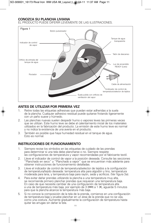### **CONOZCA SU PLANCHA LIVIANA**

EL PRODUCTO PUEDE DIFERIR LEVEMENTE DE LAS ILUSTRACIONES.



### **ANTES DE UTILIZAR POR PRIMERA VEZ**

- 1. Retire todas las etiquetas adhesivas que puedan estar adheridas a la suela de la plancha. Cualquier adhesivo residual puede quitarse frotando ligeramente con un paño suave y húmedo.
- 2. Las planchas nuevas suelen despedir humo o vapores leves las primeras veces que se utilizan. Este humo leve se debe al calentamiento inicial de los materiales utilizados en la fabricación del producto. La emisión de este humo leve es normal y no indica la existencia de una avería en el producto.
- 3. También es posible que haya humedad residual en el tanque de agua. Esto es normal.

### **INSTRUCCIONES DE FUNCIONAMIENTO**

- 1. Siempre revise los símbolos en las etiquetas de cuidado de las prendas para determinar si una tela debe plancharse o no. Siempre respete las configuraciones de temperatura y vapor recomendadas por el fabricante textil.
- 2. Lleve el indicador de control de vapor <sup>a</sup> la posición deseada. Consulte las secciones "Planchado en seco" <sup>y</sup> "Planchado <sup>a</sup> vapor" que se encuentran más adelante para obtener instrucciones de funcionamiento detalladas.
- 3. Lleve el indicador de control de temperatura/selector de tejidos a la configuración de temperatura/tejido deseada: temperatura alta para algodón y lino, temperatura moderada para lana, y temperatura baja para rayón, seda y acrílicos. (Ver figura 3a).
- 4. Para evitar dañar prendas utilizando la plancha a una temperatura muy alta, se recomienda primero planchar prendas que requieran una temperatura baja. En caso de que necesite cambiar de una configuración de temperatura alta a una de temperatura más baja, por ejemplo de 3 (•••) a 1 (•), aguarde 5 minutos para que la plancha alcance la temperatura más baja.
- 5. Si no conoce la composición de la tela de la prenda, comience en una configuración de temperatura baja y pruebe planchar en un área de la prenda que no se vea, como una costura. Aumente gradualmente la configuración de temperatura hasta quitar las arrugas sin dañar la tela.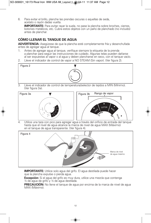6. Para evitar el brillo, planche las prendas oscuras o aquellas de seda, acetato o rayón dadas vuelta.

**IMPORTANTE:** Para evitar rayar la suela, no pase la plancha sobre broches, cierres, botones metálicos, etc. Cubra estos objetos con un paño de planchado (no incluido) antes de planchar.

### **CÓMO LLENAR EL TANQUE DE AGUA**

**ADVERTENCIA:** Asegúrese de que la plancha esté completamente fría y desenchufada antes de agregar agua al tanque.

- 1. Antes de agregar agua al tanque, verifique siempre la etiqueta de la prenda a planchar para seguir las instrucciones de cuidado. Algunas telas pueden dañarse al ser expuestas al vapor o al agua y deben plancharse en seco, con el tanque vacío.
- 2. Lleve el indicador de control de vapor a NO STEAM (Sin vapor). (Ver figura 2).



3. Lleve el indicador de control de temperatura/selector de tejidos a MIN (Mínimo). (Ver figura 3a).





4. Utilice una taza con pico para agregar agua a través del orificio de entrada del tanque hasta que el nivel de agua alcance la marca de nivel de agua MAX (Máximo) en el tanque de agua transparente. (Ver figura 4).



**IMPORTANTE:** Utilice solo agua del grifo. El agua destilada puede hacer que la plancha expulse o pierda agua.

**Excepción:** Si el agua del grifo es muy dura, utilice una mezcla que contenga ½ de agua de grifo y ½ de agua destilada.

**PRECAUCIÓN:** No llene el tanque de agua por encima de la marca de nivel de agua MAX (Máximo).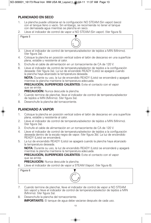### **PLANCHADO EN SECO**

- 1. La plancha puede utilizarse en la configuración NO STEAM (Sin vapor) (seco) con el tanque lleno o vacío. Sin embargo, se recomienda no tener el tanque con demasiada agua mientras se plancha en seco.
- 2. Lleve el indicador de control de vapor a NO STEAM (Sin vapor). (Ver figura 5).



- 4. Coloque la plancha en posición vertical sobre el talón de descanso en una superficie plana, estable y resistente al calor.
- 5. Enchufe el cable de alimentación en un tomacorriente de CA de 120 V.
- 6. Lleve el indicador de control de temperatura/selector de tejidos a la configuración deseada: (Ver figura 3a). La luz de encendido READY (Listo) se apagará cuando la plancha haya alcanzado la temperatura deseada.

**NOTA:** Durante su uso, la luz de encendido READY (Listo) se encenderá y apagará mientras la plancha mantiene la temperatura adecuada.

**PRECAUCIÓN, SUPERFICIES CALIENTES:** Evite el contacto con el vapor que se emite.

**PRECAUCIÓN:** Nunca descuide la plancha.

- 7. Cuando termine de planchar, lleve el indicador de control de temperatura/selector de tejidos a MIN (Mínimo). (Ver figura 3a).
- 8. Desenchufe la plancha del tomacorriente.

### **PLANCHADO A VAPOR**

- 1. Coloque la plancha en posición vertical sobre el talón de descanso en una superficie plana, estable y resistente al calor.
- 2. Lleve el indicador de control de temperatura/selector de tejidos a MIN (Mínimo). (Ver figura 3a).
- 3. Enchufe el cable de alimentación en un tomacorriente de CA de 120 V.
- 4. Lleve el indicador de control de temperatura/selector de tejidos a la configuración deseada dentro de la escala negra de vapor. (Ver figura 3b). La luz de encendido READY (Listo) se encenderá.
- 5. La luz de encendido READY (Listo) se apagará cuando la plancha haya alcanzado la temperatura deseada.

**NOTA:** Durante su uso, la luz de encendido READY (Listo) se encenderá y apagará mientras la plancha mantiene la temperatura adecuada.

**PRECAUCIÓN, SUPERFICIES CALIENTES:** Evite el contacto con el vapor que se emite.

**PRECAUCIÓN:** Nunca descuide la plancha.

6. Lleve el indicador de control de vapor a STEAM (Vapor). (Ver figura 6).

| Figura 6 |  |
|----------|--|
|          |  |



- 7. Cuando termine de planchar, lleve el indicador de control de vapor a NO STEAM (sin vapor) y lleve el indicador de control de temperatura/selector de tejidos a MIN (Mínimo). (Ver figura 3a).
- 8. Desenchufe la plancha del tomacorriente. **IMPORTANTE:** El tanque de aqua debe vaciarse después de cada uso.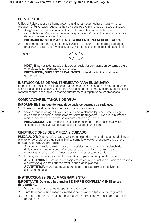### **PULVERIZADOR**

Utilice el Pulverizador para humedecer telas difíciles secas, quitar arrugas y marcar pliegues. El Pulverizador puede utilizarse ya sea para el planchado en seco o a vapor.

1. Asegúrese de que haya una cantidad suficiente de agua en el tanque. Consulte la sección "Cómo llenar el tanque de agua" para obtener instrucciones de funcionamiento específicas.

### **PRECAUCIÓN: SI LA PLANCHA ESTÁ CALIENTE, NO AGREGUE AGUA.**

2. Presione firmemente el botón pulverizador. (Ver figura 7). Es posible que deba presionar el botón 2 o 3 veces sucesivamente para liberar el rocío de agua inicial.

Figura 7



**NOTA:** El pulverizador puede utilizarse en cualquier configuración de temperatura y no afecta la temperatura de planchado.

**PRECAUCIÓN, SUPERFICIES CALIENTES:** Evite el contacto con el vapor que se emite.

### **INSTRUCCIONES DE MANTENIMIENTO PARA EL USUARIO**

Este electrodoméstico requiere poco mantenimiento. No contiene piezas que puedan ser reparadas por el usuario. No intente repararlo usted mismo. Si el producto necesita mantenimiento, consulte a un técnico autorizado para reparar electrodomésticos.

### **CÓMO VACIAR EL TANQUE DE AGUA**

#### **IMPORTANTE: El tanque de agua debe vaciarse después de cada uso.**

- 1. Desenchufe el cable de alimentación del tomacorriente.
- 2. Vacíe el tanque de agua llevando la suela de la plancha lejos de usted y luego invirtiendo la plancha cuidadosamente sobre un fregadero. Deje que la humedad residual dentro de la plancha se evapore antes de guardarla.

**PRECAUCIÓN:** Aun si la suela de la plancha está fría, tenga cuidado al vaciar el tanque de agua ya que el agua todavía puede estar caliente.

### **CINSTRUCCIONES DE LIMPIEZA Y CUIDADO**

**PRECAUCIÓN:** Desenchufe el cable de alimentación del tomacorriente antes de limpiar el exterior de la plancha y guardarla. Nunca sumerja el cable, el enchufe o la plancha en agua ni en ningún otro líquido.

- 1. Para quitar o limpiar almidón u otros materiales de la superficie de planchado de la suela, aplique una pequeña cantidad de un producto de limpieza suave y no abrasivo en un paño húmedo para formar en este una pasta.
- 2. Frote ligeramente la pasta en la suela fría y límpiela con un paño húmedo. **ADVERTENCIA:** Nunca utilice esponjas metálicas ni productos de limpieza abrasivos o fuertes ya que estos pueden rayar la suela de la plancha.

**ADVERTENCIA:** Nunca agregue agentes de limpieza químicos o solventes al tanque de agua.

### **INSTRUCCIONES DE ALMACENAMIENTO**

#### **IMPORTANTE: Deje que la plancha SE ENFRÍE COMPLETAMENTE antes de guardarla.**

- 1. Vacíe el tanque de agua después de cada uso.
- 2. Enrolle el cable sin tensarlo alrededor de la plancha fría cuando la guarde.
- 3. Para proteger la suela, coloque la plancha en posición vertical sobre el talón de descanso.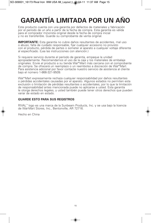# **GARANTÍA LIMITADA POR UN AÑO**

Este producto cuenta con una garantía por defectos de materiales y fabricación por el período de un año a partir de la fecha de compra. Esta garantía es válida para el comprador minorista original desde la fecha de compra inicial y no es transferible. Guarde su comprobante de venta original.

**IMPORTANTE:** Esta garantía no cubre daños resultantes de accidentes, mal uso o abuso, falta de cuidado responsable, fijar cualquier accesorio no provisto con el producto, pérdida de partes o someter al aparato a cualquier voltaje diferente al especificado. (Lea las instrucciones con atención.)

Si requiere servicio durante el período de garantía, empaque la unidad apropiadamente. Recomendamos el uso de la caja y los materiales de embalaje originales. Envíe el producto a su tienda Wal\*Mart más cercana con el comprobante de compra. Se ofrecerá un reemplazo o un reembolso a discreción de Wal\*Mart. Para asistencia adicional por favor contacte nuestro servicio de asistencia al cliente bajo el número 1-866-321-9509.

Wal\*Mart expresamente rechaza cualquier responsabilidad por daños resultantes o pérdidas accidentales causadas por el aparato. Algunos estados no permiten esta exclusión o limitación de pérdidas resultantes o accidentales, por lo que la limitación de responsabilidad antes mencionada puede no aplicarse a usted. Esta garantía le otorga derechos legales, y usted también puede tener otros derechos que pueden variar de estado en estado.

### **GUARDE ESTO PARA SUS REGISTROS**

RIVAL™ logo es una marca de la Sunbeam Products, Inc. y se usa bajo la licencia de Wal-Mart Stores, Inc., Bentonville, AR 72716.

Hecho en China